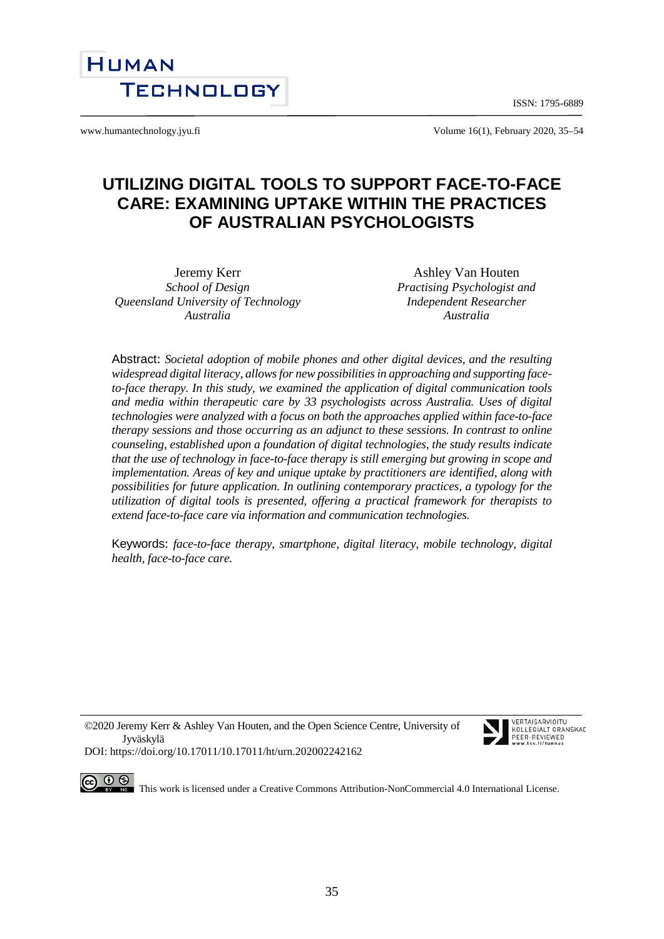ISSN: 1795-6889



www.humantechnology.jyu.fi Volume 16(1), February 2020, 35–54

# **UTILIZING DIGITAL TOOLS TO SUPPORT FACE-TO-FACE CARE: EXAMINING UPTAKE WITHIN THE PRACTICES OF AUSTRALIAN PSYCHOLOGISTS**

Jeremy Kerr *School of Design Queensland University of Technology Australia*

Ashley Van Houten *Practising Psychologist and Independent Researcher Australia*

Abstract: *Societal adoption of mobile phones and other digital devices, and the resulting widespread digital literacy, allows for new possibilities in approaching and supporting faceto-face therapy. In this study, we examined the application of digital communication tools and media within therapeutic care by 33 psychologists across Australia. Uses of digital technologies were analyzed with a focus on both the approaches applied within face-to-face therapy sessions and those occurring as an adjunct to these sessions. In contrast to online counseling, established upon a foundation of digital technologies, the study results indicate that the use of technology in face-to-face therapy is still emerging but growing in scope and implementation. Areas of key and unique uptake by practitioners are identified, along with possibilities for future application. In outlining contemporary practices, a typology for the utilization of digital tools is presented, offering a practical framework for therapists to extend face-to-face care via information and communication technologies.*

Keywords: *face-to-face therapy, smartphone, digital literacy, mobile technology, digital health, face-to-face care.* 

©2020 Jeremy Kerr & Ashley Van Houten, and the Open Science Centre, University of Jyväskylä



VERTAISARVINITII KOLLEGIALT GRANSKAD PEER-REVIEWED

DOI: https://doi.org/10.17011/10.17011/ht/urn.202002242162

This work is licensed under [a Creative Commons Attribution-NonCommercial 4.0 International License.](http://creativecommons.org/licenses/by-nc/4.0/)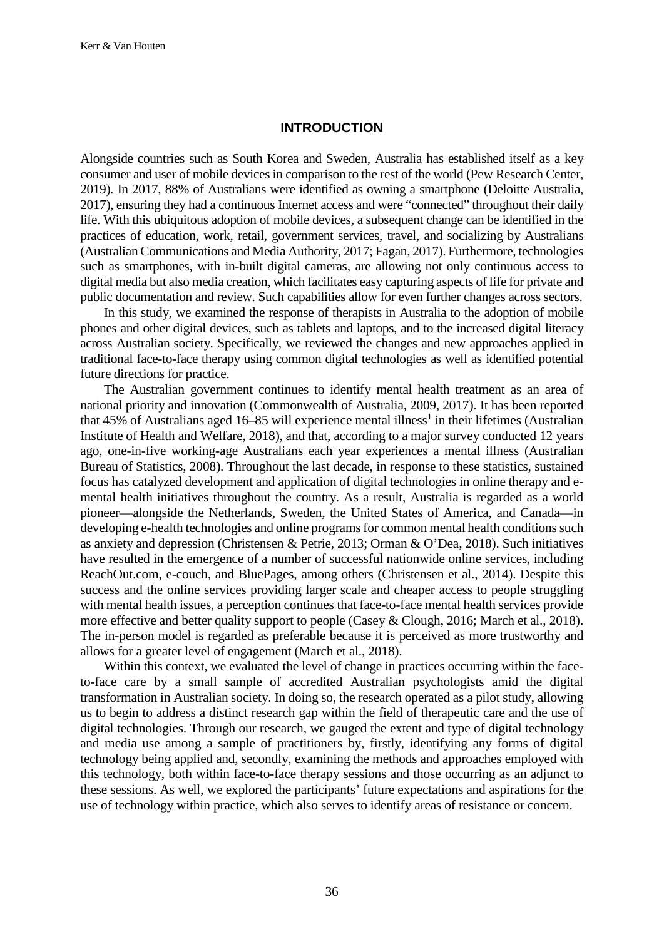#### **INTRODUCTION**

Alongside countries such as South Korea and Sweden, Australia has established itself as a key consumer and user of mobile devices in comparison to the rest of the world (Pew Research Center, 2019). In 2017, 88% of Australians were identified as owning a smartphone (Deloitte Australia, 2017), ensuring they had a continuous Internet access and were "connected" throughout their daily life. With this ubiquitous adoption of mobile devices, a subsequent change can be identified in the practices of education, work, retail, government services, travel, and socializing by Australians (Australian Communications and Media Authority, 2017; Fagan, 2017). Furthermore, technologies such as smartphones, with in-built digital cameras, are allowing not only continuous access to digital media but also media creation, which facilitates easy capturing aspects of life for private and public documentation and review. Such capabilities allow for even further changes across sectors.

In this study, we examined the response of therapists in Australia to the adoption of mobile phones and other digital devices, such as tablets and laptops, and to the increased digital literacy across Australian society. Specifically, we reviewed the changes and new approaches applied in traditional face-to-face therapy using common digital technologies as well as identified potential future directions for practice.

The Australian government continues to identify mental health treatment as an area of national priority and innovation (Commonwealth of Australia, 2009, 2017). It has been reported that 45% of Australians aged 16–85 will experience mental illness<sup>1</sup> in their lifetimes (Australian Institute of Health and Welfare, 2018), and that, according to a major survey conducted 12 years ago, one-in-five working-age Australians each year experiences a mental illness (Australian Bureau of Statistics, 2008). Throughout the last decade, in response to these statistics, sustained focus has catalyzed development and application of digital technologies in online therapy and emental health initiatives throughout the country. As a result, Australia is regarded as a world pioneer—alongside the Netherlands, Sweden, the United States of America, and Canada—in developing e-health technologies and online programs for common mental health conditions such as anxiety and depression (Christensen & Petrie, 2013; Orman & O'Dea, 2018). Such initiatives have resulted in the emergence of a number of successful nationwide online services, including ReachOut.com, e-couch, and BluePages, among others (Christensen et al., 2014). Despite this success and the online services providing larger scale and cheaper access to people struggling with mental health issues, a perception continues that face-to-face mental health services provide more effective and better quality support to people (Casey & Clough, 2016; March et al., 2018). The in-person model is regarded as preferable because it is perceived as more trustworthy and allows for a greater level of engagement (March et al., 2018).

Within this context, we evaluated the level of change in practices occurring within the faceto-face care by a small sample of accredited Australian psychologists amid the digital transformation in Australian society. In doing so, the research operated as a pilot study, allowing us to begin to address a distinct research gap within the field of therapeutic care and the use of digital technologies. Through our research, we gauged the extent and type of digital technology and media use among a sample of practitioners by, firstly, identifying any forms of digital technology being applied and, secondly, examining the methods and approaches employed with this technology, both within face-to-face therapy sessions and those occurring as an adjunct to these sessions. As well, we explored the participants' future expectations and aspirations for the use of technology within practice, which also serves to identify areas of resistance or concern.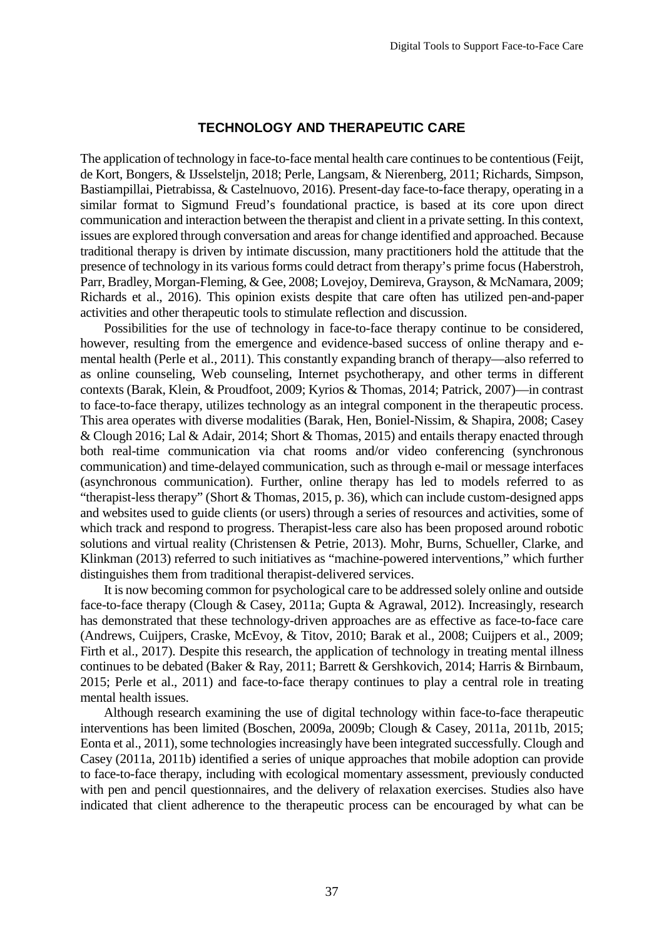### **TECHNOLOGY AND THERAPEUTIC CARE**

The application of technology in face-to-face mental health care continues to be contentious (Feijt, de Kort, Bongers, & IJsselsteljn, 2018; Perle, Langsam, & Nierenberg, 2011; Richards, Simpson, Bastiampillai, Pietrabissa, & Castelnuovo, 2016). Present-day face-to-face therapy, operating in a similar format to Sigmund Freud's foundational practice, is based at its core upon direct communication and interaction between the therapist and client in a private setting. In this context, issues are explored through conversation and areas for change identified and approached. Because traditional therapy is driven by intimate discussion, many practitioners hold the attitude that the presence of technology in its various forms could detract from therapy's prime focus (Haberstroh, Parr, Bradley, Morgan-Fleming, & Gee, 2008; Lovejoy, Demireva, Grayson, & McNamara, 2009; Richards et al., 2016). This opinion exists despite that care often has utilized pen-and-paper activities and other therapeutic tools to stimulate reflection and discussion.

Possibilities for the use of technology in face-to-face therapy continue to be considered, however, resulting from the emergence and evidence-based success of online therapy and emental health (Perle et al., 2011). This constantly expanding branch of therapy—also referred to as online counseling, Web counseling, Internet psychotherapy, and other terms in different contexts (Barak, Klein, & Proudfoot, 2009; Kyrios & Thomas, 2014; Patrick, 2007)—in contrast to face-to-face therapy, utilizes technology as an integral component in the therapeutic process. This area operates with diverse modalities (Barak, Hen, Boniel-Nissim, & Shapira, 2008; Casey & Clough 2016; Lal & Adair, 2014; Short & Thomas, 2015) and entails therapy enacted through both real-time communication via chat rooms and/or video conferencing (synchronous communication) and time-delayed communication, such as through e-mail or message interfaces (asynchronous communication). Further, online therapy has led to models referred to as "therapist-less therapy" (Short & Thomas, 2015, p. 36), which can include custom-designed apps and websites used to guide clients (or users) through a series of resources and activities, some of which track and respond to progress. Therapist-less care also has been proposed around robotic solutions and virtual reality (Christensen & Petrie, 2013). Mohr, Burns, Schueller, Clarke, and Klinkman (2013) referred to such initiatives as "machine-powered interventions," which further distinguishes them from traditional therapist-delivered services.

It is now becoming common for psychological care to be addressed solely online and outside face-to-face therapy (Clough & Casey, 2011a; Gupta & Agrawal, 2012). Increasingly, research has demonstrated that these technology-driven approaches are as effective as face-to-face care (Andrews, Cuijpers, Craske, McEvoy, & Titov, 2010; Barak et al., 2008; Cuijpers et al., 2009; Firth et al., 2017). Despite this research, the application of technology in treating mental illness continues to be debated (Baker & Ray, 2011; Barrett & Gershkovich, 2014; Harris & Birnbaum, 2015; Perle et al., 2011) and face-to-face therapy continues to play a central role in treating mental health issues.

Although research examining the use of digital technology within face-to-face therapeutic interventions has been limited (Boschen, 2009a, 2009b; Clough & Casey, 2011a, 2011b, 2015; Eonta et al., 2011), some technologies increasingly have been integrated successfully. Clough and Casey (2011a, 2011b) identified a series of unique approaches that mobile adoption can provide to face-to-face therapy, including with ecological momentary assessment, previously conducted with pen and pencil questionnaires, and the delivery of relaxation exercises. Studies also have indicated that client adherence to the therapeutic process can be encouraged by what can be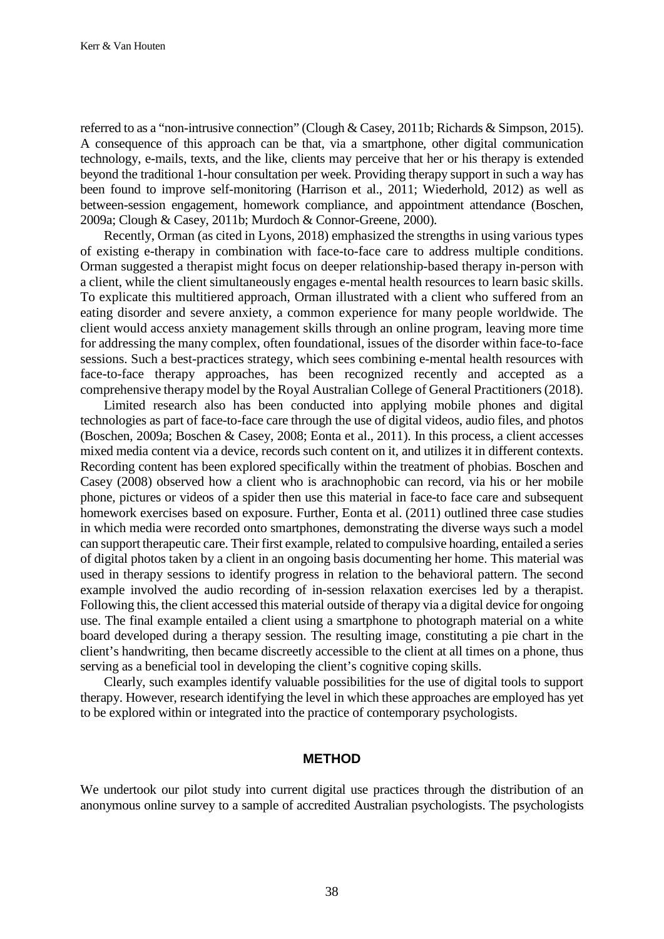referred to as a "non-intrusive connection" (Clough & Casey, 2011b; Richards & Simpson, 2015). A consequence of this approach can be that, via a smartphone, other digital communication technology, e-mails, texts, and the like, clients may perceive that her or his therapy is extended beyond the traditional 1-hour consultation per week. Providing therapy support in such a way has been found to improve self-monitoring (Harrison et al., 2011; Wiederhold, 2012) as well as between-session engagement, homework compliance, and appointment attendance (Boschen, 2009a; Clough & Casey, 2011b; Murdoch & Connor-Greene, 2000).

Recently, Orman (as cited in Lyons, 2018) emphasized the strengths in using various types of existing e-therapy in combination with face-to-face care to address multiple conditions. Orman suggested a therapist might focus on deeper relationship-based therapy in-person with a client, while the client simultaneously engages e-mental health resources to learn basic skills. To explicate this multitiered approach, Orman illustrated with a client who suffered from an eating disorder and severe anxiety, a common experience for many people worldwide. The client would access anxiety management skills through an online program, leaving more time for addressing the many complex, often foundational, issues of the disorder within face-to-face sessions. Such a best-practices strategy, which sees combining e-mental health resources with face-to-face therapy approaches, has been recognized recently and accepted as a comprehensive therapy model by the Royal Australian College of General Practitioners (2018).

Limited research also has been conducted into applying mobile phones and digital technologies as part of face-to-face care through the use of digital videos, audio files, and photos (Boschen, 2009a; Boschen & Casey, 2008; Eonta et al., 2011). In this process, a client accesses mixed media content via a device, records such content on it, and utilizes it in different contexts. Recording content has been explored specifically within the treatment of phobias. Boschen and Casey (2008) observed how a client who is arachnophobic can record, via his or her mobile phone, pictures or videos of a spider then use this material in face-to face care and subsequent homework exercises based on exposure. Further, Eonta et al. (2011) outlined three case studies in which media were recorded onto smartphones, demonstrating the diverse ways such a model can support therapeutic care. Their first example, related to compulsive hoarding, entailed a series of digital photos taken by a client in an ongoing basis documenting her home. This material was used in therapy sessions to identify progress in relation to the behavioral pattern. The second example involved the audio recording of in-session relaxation exercises led by a therapist. Following this, the client accessed this material outside of therapy via a digital device for ongoing use. The final example entailed a client using a smartphone to photograph material on a white board developed during a therapy session. The resulting image, constituting a pie chart in the client's handwriting, then became discreetly accessible to the client at all times on a phone, thus serving as a beneficial tool in developing the client's cognitive coping skills.

Clearly, such examples identify valuable possibilities for the use of digital tools to support therapy. However, research identifying the level in which these approaches are employed has yet to be explored within or integrated into the practice of contemporary psychologists.

#### **METHOD**

We undertook our pilot study into current digital use practices through the distribution of an anonymous online survey to a sample of accredited Australian psychologists. The psychologists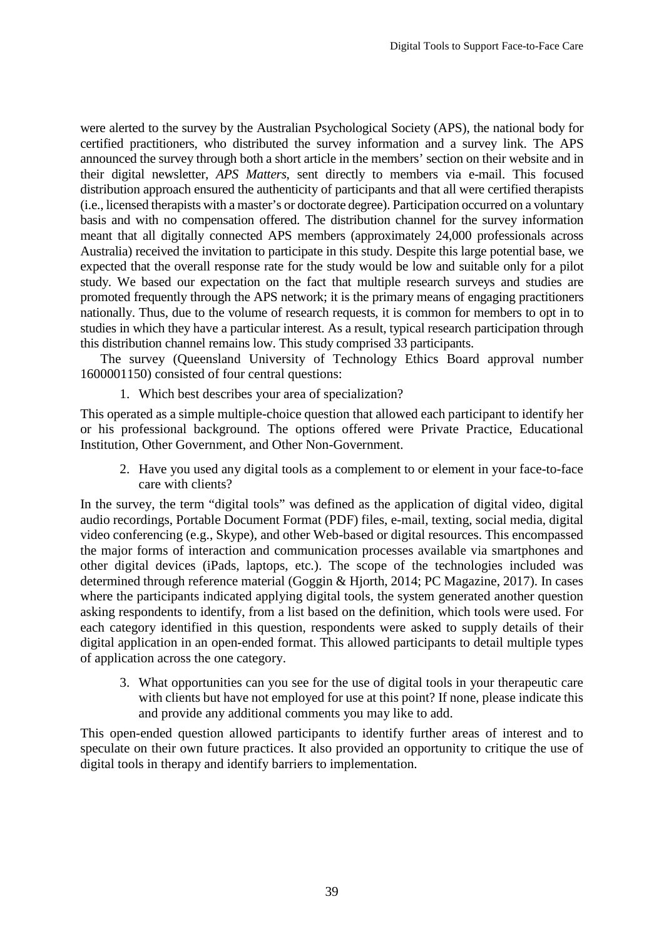were alerted to the survey by the Australian Psychological Society (APS), the national body for certified practitioners, who distributed the survey information and a survey link. The APS announced the survey through both a short article in the members' section on their website and in their digital newsletter, *APS Matters*, sent directly to members via e-mail. This focused distribution approach ensured the authenticity of participants and that all were certified therapists (i.e., licensed therapists with a master's or doctorate degree). Participation occurred on a voluntary basis and with no compensation offered. The distribution channel for the survey information meant that all digitally connected APS members (approximately 24,000 professionals across Australia) received the invitation to participate in this study. Despite this large potential base, we expected that the overall response rate for the study would be low and suitable only for a pilot study. We based our expectation on the fact that multiple research surveys and studies are promoted frequently through the APS network; it is the primary means of engaging practitioners nationally. Thus, due to the volume of research requests, it is common for members to opt in to studies in which they have a particular interest. As a result, typical research participation through this distribution channel remains low. This study comprised 33 participants.

The survey (Queensland University of Technology Ethics Board approval number 1600001150) consisted of four central questions:

1. Which best describes your area of specialization?

This operated as a simple multiple-choice question that allowed each participant to identify her or his professional background. The options offered were Private Practice, Educational Institution, Other Government, and Other Non-Government.

2. Have you used any digital tools as a complement to or element in your face-to-face care with clients?

In the survey, the term "digital tools" was defined as the application of digital video, digital audio recordings, Portable Document Format (PDF) files, e-mail, texting, social media, digital video conferencing (e.g., Skype), and other Web-based or digital resources. This encompassed the major forms of interaction and communication processes available via smartphones and other digital devices (iPads, laptops, etc.). The scope of the technologies included was determined through reference material (Goggin & Hjorth, 2014; PC Magazine, 2017). In cases where the participants indicated applying digital tools, the system generated another question asking respondents to identify, from a list based on the definition, which tools were used. For each category identified in this question, respondents were asked to supply details of their digital application in an open-ended format. This allowed participants to detail multiple types of application across the one category.

3. What opportunities can you see for the use of digital tools in your therapeutic care with clients but have not employed for use at this point? If none, please indicate this and provide any additional comments you may like to add.

This open-ended question allowed participants to identify further areas of interest and to speculate on their own future practices. It also provided an opportunity to critique the use of digital tools in therapy and identify barriers to implementation.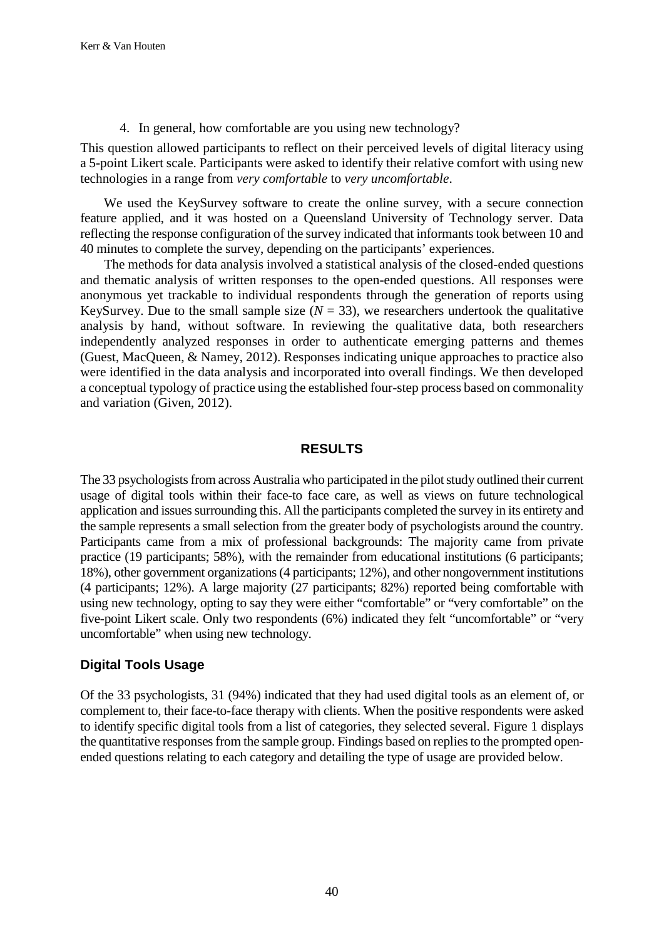4. In general, how comfortable are you using new technology?

This question allowed participants to reflect on their perceived levels of digital literacy using a 5-point Likert scale. Participants were asked to identify their relative comfort with using new technologies in a range from *very comfortable* to *very uncomfortable*.

We used the KeySurvey software to create the online survey, with a secure connection feature applied, and it was hosted on a Queensland University of Technology server. Data reflecting the response configuration of the survey indicated that informants took between 10 and 40 minutes to complete the survey, depending on the participants' experiences.

The methods for data analysis involved a statistical analysis of the closed-ended questions and thematic analysis of written responses to the open-ended questions. All responses were anonymous yet trackable to individual respondents through the generation of reports using KeySurvey. Due to the small sample size  $(N = 33)$ , we researchers undertook the qualitative analysis by hand, without software. In reviewing the qualitative data, both researchers independently analyzed responses in order to authenticate emerging patterns and themes (Guest, MacQueen, & Namey, 2012). Responses indicating unique approaches to practice also were identified in the data analysis and incorporated into overall findings. We then developed a conceptual typology of practice using the established four-step process based on commonality and variation (Given, 2012).

## **RESULTS**

The 33 psychologists from across Australia who participated in the pilot study outlined their current usage of digital tools within their face-to face care, as well as views on future technological application and issues surrounding this. All the participants completed the survey in its entirety and the sample represents a small selection from the greater body of psychologists around the country. Participants came from a mix of professional backgrounds: The majority came from private practice (19 participants; 58%), with the remainder from educational institutions (6 participants; 18%), other government organizations (4 participants; 12%), and other nongovernment institutions (4 participants; 12%). A large majority (27 participants; 82%) reported being comfortable with using new technology, opting to say they were either "comfortable" or "very comfortable" on the five-point Likert scale. Only two respondents (6%) indicated they felt "uncomfortable" or "very uncomfortable" when using new technology.

# **Digital Tools Usage**

Of the 33 psychologists, 31 (94%) indicated that they had used digital tools as an element of, or complement to, their face-to-face therapy with clients. When the positive respondents were asked to identify specific digital tools from a list of categories, they selected several. Figure 1 displays the quantitative responses from the sample group. Findings based on replies to the prompted openended questions relating to each category and detailing the type of usage are provided below.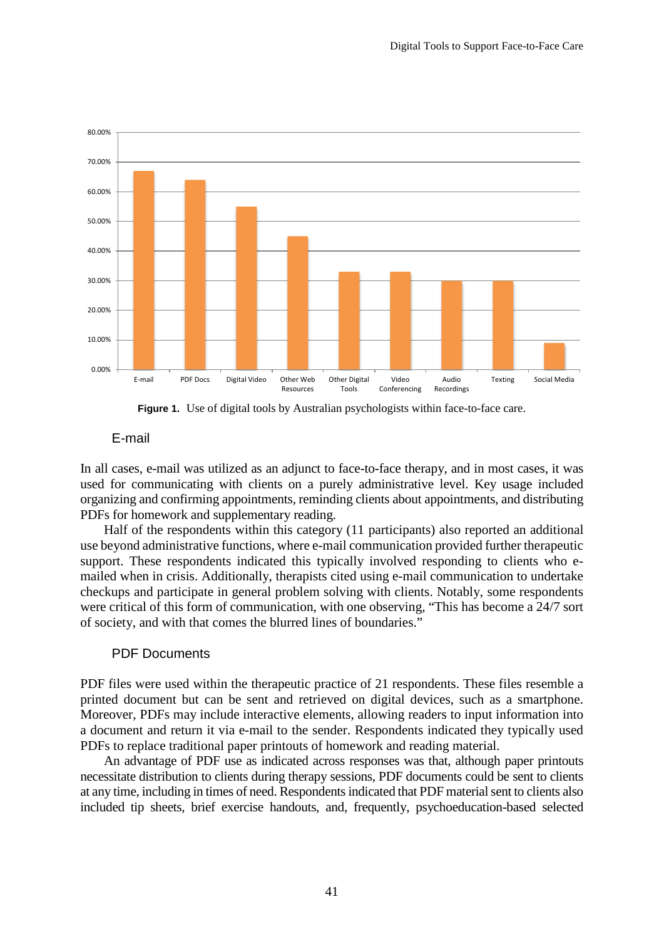

Figure 1. Use of digital tools by Australian psychologists within face-to-face care.

## E-mail

In all cases, e-mail was utilized as an adjunct to face-to-face therapy, and in most cases, it was used for communicating with clients on a purely administrative level. Key usage included organizing and confirming appointments, reminding clients about appointments, and distributing PDFs for homework and supplementary reading.

Half of the respondents within this category (11 participants) also reported an additional use beyond administrative functions, where e-mail communication provided further therapeutic support. These respondents indicated this typically involved responding to clients who emailed when in crisis. Additionally, therapists cited using e-mail communication to undertake checkups and participate in general problem solving with clients. Notably, some respondents were critical of this form of communication, with one observing, "This has become a 24/7 sort of society, and with that comes the blurred lines of boundaries."

## PDF Documents

PDF files were used within the therapeutic practice of 21 respondents. These files resemble a printed document but can be sent and retrieved on digital devices, such as a smartphone. Moreover, PDFs may include interactive elements, allowing readers to input information into a document and return it via e-mail to the sender. Respondents indicated they typically used PDFs to replace traditional paper printouts of homework and reading material.

An advantage of PDF use as indicated across responses was that, although paper printouts necessitate distribution to clients during therapy sessions, PDF documents could be sent to clients at any time, including in times of need. Respondents indicated that PDF material sent to clients also included tip sheets, brief exercise handouts, and, frequently, psychoeducation-based selected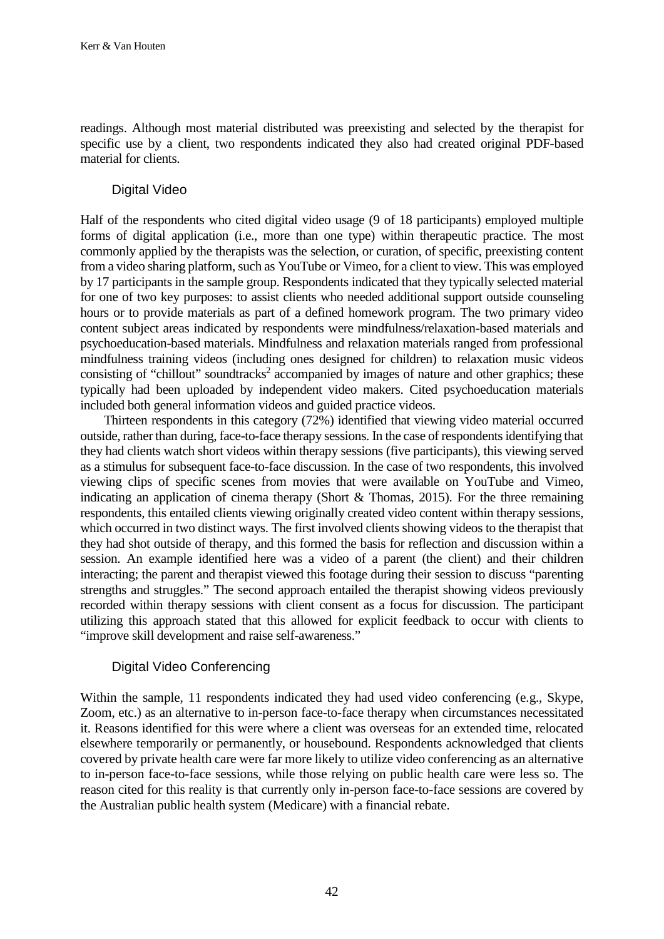readings. Although most material distributed was preexisting and selected by the therapist for specific use by a client, two respondents indicated they also had created original PDF-based material for clients.

# Digital Video

Half of the respondents who cited digital video usage (9 of 18 participants) employed multiple forms of digital application (i.e., more than one type) within therapeutic practice. The most commonly applied by the therapists was the selection, or curation, of specific, preexisting content from a video sharing platform, such as YouTube or Vimeo, for a client to view. This was employed by 17 participants in the sample group. Respondents indicated that they typically selected material for one of two key purposes: to assist clients who needed additional support outside counseling hours or to provide materials as part of a defined homework program. The two primary video content subject areas indicated by respondents were mindfulness/relaxation-based materials and psychoeducation-based materials. Mindfulness and relaxation materials ranged from professional mindfulness training videos (including ones designed for children) to relaxation music videos consisting of "chillout" soundtracks<sup>2</sup> accompanied by images of nature and other graphics; these typically had been uploaded by independent video makers. Cited psychoeducation materials included both general information videos and guided practice videos.

Thirteen respondents in this category (72%) identified that viewing video material occurred outside, rather than during, face-to-face therapy sessions. In the case of respondents identifying that they had clients watch short videos within therapy sessions (five participants), this viewing served as a stimulus for subsequent face-to-face discussion. In the case of two respondents, this involved viewing clips of specific scenes from movies that were available on YouTube and Vimeo, indicating an application of cinema therapy (Short & Thomas, 2015). For the three remaining respondents, this entailed clients viewing originally created video content within therapy sessions, which occurred in two distinct ways. The first involved clients showing videos to the therapist that they had shot outside of therapy, and this formed the basis for reflection and discussion within a session. An example identified here was a video of a parent (the client) and their children interacting; the parent and therapist viewed this footage during their session to discuss "parenting strengths and struggles." The second approach entailed the therapist showing videos previously recorded within therapy sessions with client consent as a focus for discussion. The participant utilizing this approach stated that this allowed for explicit feedback to occur with clients to "improve skill development and raise self-awareness."

## Digital Video Conferencing

Within the sample, 11 respondents indicated they had used video conferencing (e.g., Skype, Zoom, etc.) as an alternative to in-person face-to-face therapy when circumstances necessitated it. Reasons identified for this were where a client was overseas for an extended time, relocated elsewhere temporarily or permanently, or housebound. Respondents acknowledged that clients covered by private health care were far more likely to utilize video conferencing as an alternative to in-person face-to-face sessions, while those relying on public health care were less so. The reason cited for this reality is that currently only in-person face-to-face sessions are covered by the Australian public health system (Medicare) with a financial rebate.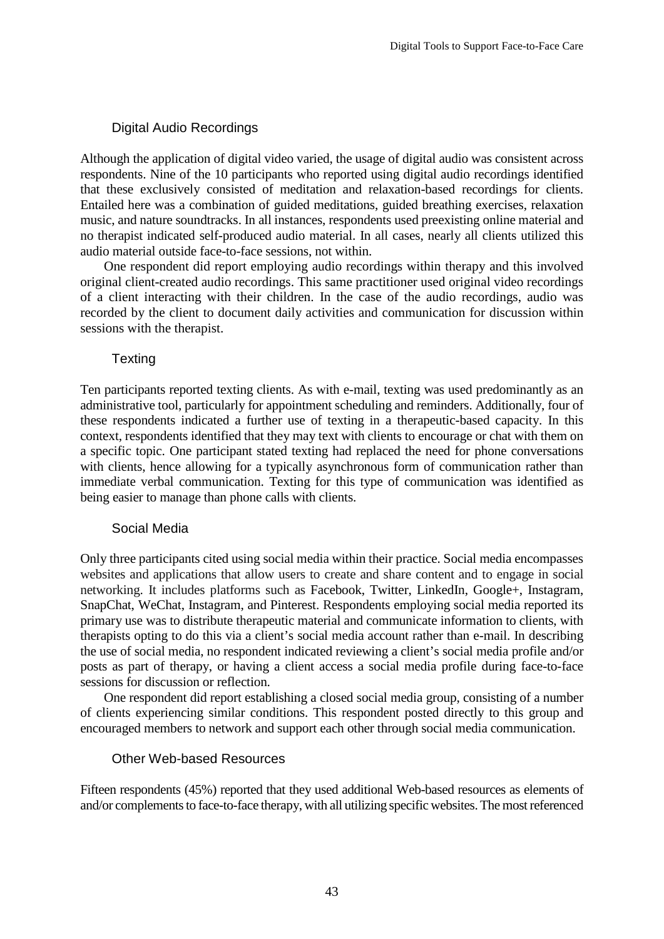# Digital Audio Recordings

Although the application of digital video varied, the usage of digital audio was consistent across respondents. Nine of the 10 participants who reported using digital audio recordings identified that these exclusively consisted of meditation and relaxation-based recordings for clients. Entailed here was a combination of guided meditations, guided breathing exercises, relaxation music, and nature soundtracks. In all instances, respondents used preexisting online material and no therapist indicated self-produced audio material. In all cases, nearly all clients utilized this audio material outside face-to-face sessions, not within.

One respondent did report employing audio recordings within therapy and this involved original client-created audio recordings. This same practitioner used original video recordings of a client interacting with their children. In the case of the audio recordings, audio was recorded by the client to document daily activities and communication for discussion within sessions with the therapist.

# **Texting**

Ten participants reported texting clients. As with e-mail, texting was used predominantly as an administrative tool, particularly for appointment scheduling and reminders. Additionally, four of these respondents indicated a further use of texting in a therapeutic-based capacity. In this context, respondents identified that they may text with clients to encourage or chat with them on a specific topic. One participant stated texting had replaced the need for phone conversations with clients, hence allowing for a typically asynchronous form of communication rather than immediate verbal communication. Texting for this type of communication was identified as being easier to manage than phone calls with clients.

# Social Media

Only three participants cited using social media within their practice. Social media encompasses websites and applications that allow users to create and share content and to engage in social networking. It includes platforms such as Facebook, Twitter, LinkedIn, Google+, Instagram, SnapChat, WeChat, Instagram, and Pinterest. Respondents employing social media reported its primary use was to distribute therapeutic material and communicate information to clients, with therapists opting to do this via a client's social media account rather than e-mail. In describing the use of social media, no respondent indicated reviewing a client's social media profile and/or posts as part of therapy, or having a client access a social media profile during face-to-face sessions for discussion or reflection.

One respondent did report establishing a closed social media group, consisting of a number of clients experiencing similar conditions. This respondent posted directly to this group and encouraged members to network and support each other through social media communication.

## Other Web-based Resources

Fifteen respondents (45%) reported that they used additional Web-based resources as elements of and/or complements to face-to-face therapy, with all utilizing specific websites. The most referenced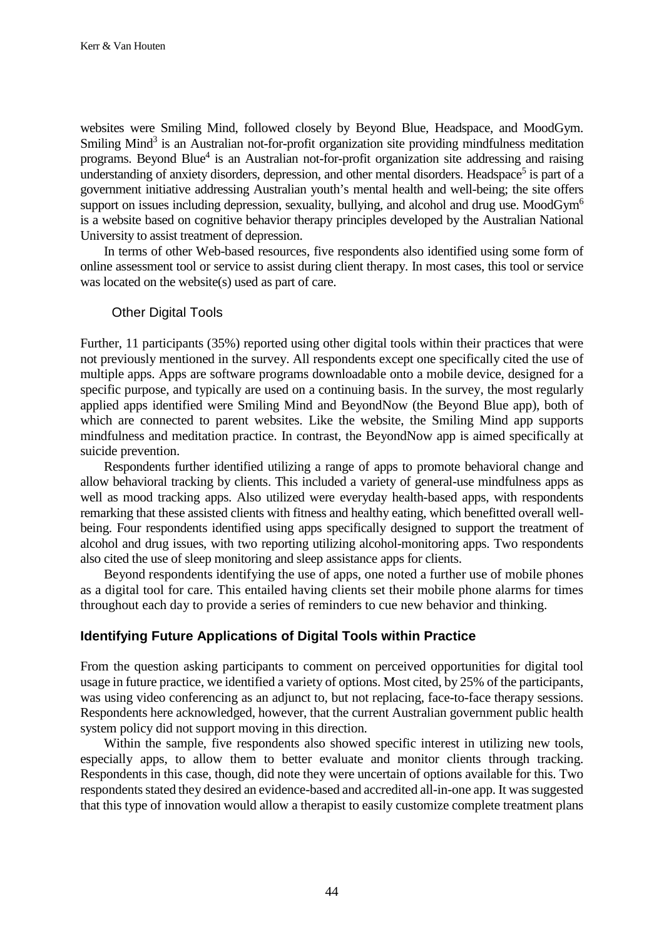websites were Smiling Mind, followed closely by Beyond Blue*,* Headspace, and MoodGym. Smiling Mind<sup>3</sup> is an Australian not-for-profit organization site providing mindfulness meditation programs. Beyond Blue<sup>4</sup> is an Australian not-for-profit organization site addressing and raising understanding of anxiety disorders, depression, and other mental disorders. Headspace<sup>5</sup> is part of a government initiative addressing Australian youth's mental health and well-being; the site offers support on issues including depression, sexuality, bullying, and alcohol and drug use. MoodGym<sup>6</sup> is a website based on cognitive behavior therapy principles developed by the Australian National University to assist treatment of depression.

In terms of other Web-based resources, five respondents also identified using some form of online assessment tool or service to assist during client therapy. In most cases, this tool or service was located on the website(s) used as part of care.

#### Other Digital Tools

Further, 11 participants (35%) reported using other digital tools within their practices that were not previously mentioned in the survey. All respondents except one specifically cited the use of multiple apps. Apps are software programs downloadable onto a mobile device, designed for a specific purpose, and typically are used on a continuing basis. In the survey, the most regularly applied apps identified were Smiling Mind and BeyondNow (the Beyond Blue app), both of which are connected to parent websites. Like the website, the Smiling Mind app supports mindfulness and meditation practice. In contrast, the BeyondNow app is aimed specifically at suicide prevention.

Respondents further identified utilizing a range of apps to promote behavioral change and allow behavioral tracking by clients. This included a variety of general-use mindfulness apps as well as mood tracking apps. Also utilized were everyday health-based apps, with respondents remarking that these assisted clients with fitness and healthy eating, which benefitted overall wellbeing. Four respondents identified using apps specifically designed to support the treatment of alcohol and drug issues, with two reporting utilizing alcohol-monitoring apps. Two respondents also cited the use of sleep monitoring and sleep assistance apps for clients.

Beyond respondents identifying the use of apps, one noted a further use of mobile phones as a digital tool for care. This entailed having clients set their mobile phone alarms for times throughout each day to provide a series of reminders to cue new behavior and thinking.

# **Identifying Future Applications of Digital Tools within Practice**

From the question asking participants to comment on perceived opportunities for digital tool usage in future practice, we identified a variety of options. Most cited, by 25% of the participants, was using video conferencing as an adjunct to, but not replacing, face-to-face therapy sessions. Respondents here acknowledged, however, that the current Australian government public health system policy did not support moving in this direction.

Within the sample, five respondents also showed specific interest in utilizing new tools, especially apps, to allow them to better evaluate and monitor clients through tracking. Respondents in this case, though, did note they were uncertain of options available for this. Two respondents stated they desired an evidence-based and accredited all-in-one app. It was suggested that this type of innovation would allow a therapist to easily customize complete treatment plans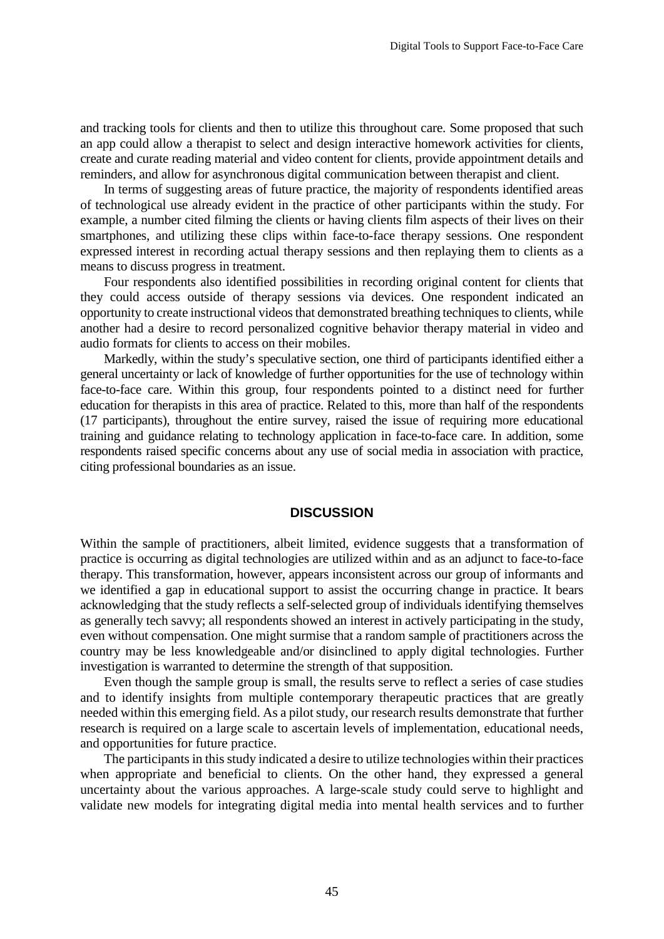and tracking tools for clients and then to utilize this throughout care. Some proposed that such an app could allow a therapist to select and design interactive homework activities for clients, create and curate reading material and video content for clients, provide appointment details and reminders, and allow for asynchronous digital communication between therapist and client.

In terms of suggesting areas of future practice, the majority of respondents identified areas of technological use already evident in the practice of other participants within the study. For example, a number cited filming the clients or having clients film aspects of their lives on their smartphones, and utilizing these clips within face-to-face therapy sessions. One respondent expressed interest in recording actual therapy sessions and then replaying them to clients as a means to discuss progress in treatment.

Four respondents also identified possibilities in recording original content for clients that they could access outside of therapy sessions via devices. One respondent indicated an opportunity to create instructional videos that demonstrated breathing techniques to clients, while another had a desire to record personalized cognitive behavior therapy material in video and audio formats for clients to access on their mobiles.

Markedly, within the study's speculative section, one third of participants identified either a general uncertainty or lack of knowledge of further opportunities for the use of technology within face-to-face care. Within this group, four respondents pointed to a distinct need for further education for therapists in this area of practice. Related to this, more than half of the respondents (17 participants), throughout the entire survey, raised the issue of requiring more educational training and guidance relating to technology application in face-to-face care. In addition, some respondents raised specific concerns about any use of social media in association with practice, citing professional boundaries as an issue.

#### **DISCUSSION**

Within the sample of practitioners, albeit limited, evidence suggests that a transformation of practice is occurring as digital technologies are utilized within and as an adjunct to face-to-face therapy. This transformation, however, appears inconsistent across our group of informants and we identified a gap in educational support to assist the occurring change in practice. It bears acknowledging that the study reflects a self-selected group of individuals identifying themselves as generally tech savvy; all respondents showed an interest in actively participating in the study, even without compensation. One might surmise that a random sample of practitioners across the country may be less knowledgeable and/or disinclined to apply digital technologies. Further investigation is warranted to determine the strength of that supposition.

Even though the sample group is small, the results serve to reflect a series of case studies and to identify insights from multiple contemporary therapeutic practices that are greatly needed within this emerging field. As a pilot study, our research results demonstrate that further research is required on a large scale to ascertain levels of implementation, educational needs, and opportunities for future practice.

The participants in this study indicated a desire to utilize technologies within their practices when appropriate and beneficial to clients. On the other hand, they expressed a general uncertainty about the various approaches. A large-scale study could serve to highlight and validate new models for integrating digital media into mental health services and to further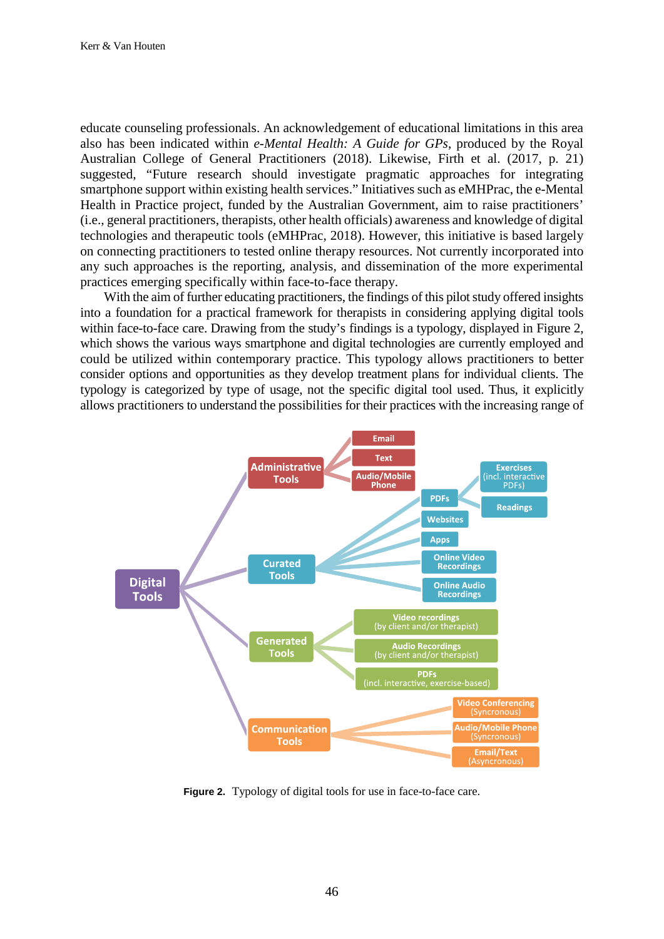educate counseling professionals. An acknowledgement of educational limitations in this area also has been indicated within *e-Mental Health: A Guide for GPs*, produced by the Royal Australian College of General Practitioners (2018). Likewise, Firth et al. (2017, p. 21) suggested, "Future research should investigate pragmatic approaches for integrating smartphone support within existing health services." Initiatives such as eMHPrac, the e-Mental Health in Practice project, funded by the Australian Government, aim to raise practitioners' (i.e., general practitioners, therapists, other health officials) awareness and knowledge of digital technologies and therapeutic tools (eMHPrac, 2018). However, this initiative is based largely on connecting practitioners to tested online therapy resources. Not currently incorporated into any such approaches is the reporting, analysis, and dissemination of the more experimental practices emerging specifically within face-to-face therapy.

With the aim of further educating practitioners, the findings of this pilot study offered insights into a foundation for a practical framework for therapists in considering applying digital tools within face-to-face care. Drawing from the study's findings is a typology, displayed in Figure 2, which shows the various ways smartphone and digital technologies are currently employed and could be utilized within contemporary practice. This typology allows practitioners to better consider options and opportunities as they develop treatment plans for individual clients. The typology is categorized by type of usage, not the specific digital tool used. Thus, it explicitly allows practitioners to understand the possibilities for their practices with the increasing range of



**Figure 2.** Typology of digital tools for use in face-to-face care.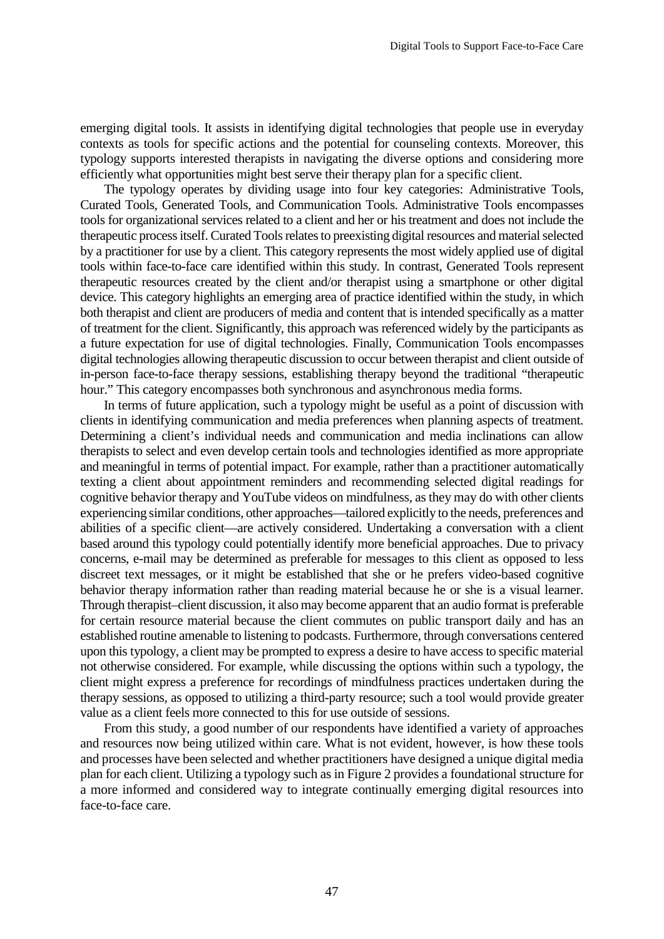emerging digital tools. It assists in identifying digital technologies that people use in everyday contexts as tools for specific actions and the potential for counseling contexts. Moreover, this typology supports interested therapists in navigating the diverse options and considering more efficiently what opportunities might best serve their therapy plan for a specific client.

The typology operates by dividing usage into four key categories: Administrative Tools, Curated Tools, Generated Tools, and Communication Tools. Administrative Tools encompasses tools for organizational services related to a client and her or his treatment and does not include the therapeutic process itself. Curated Tools relates to preexisting digital resources and material selected by a practitioner for use by a client. This category represents the most widely applied use of digital tools within face-to-face care identified within this study. In contrast, Generated Tools represent therapeutic resources created by the client and/or therapist using a smartphone or other digital device. This category highlights an emerging area of practice identified within the study, in which both therapist and client are producers of media and content that is intended specifically as a matter of treatment for the client. Significantly, this approach was referenced widely by the participants as a future expectation for use of digital technologies. Finally, Communication Tools encompasses digital technologies allowing therapeutic discussion to occur between therapist and client outside of in-person face-to-face therapy sessions, establishing therapy beyond the traditional "therapeutic hour." This category encompasses both synchronous and asynchronous media forms.

In terms of future application, such a typology might be useful as a point of discussion with clients in identifying communication and media preferences when planning aspects of treatment. Determining a client's individual needs and communication and media inclinations can allow therapists to select and even develop certain tools and technologies identified as more appropriate and meaningful in terms of potential impact. For example, rather than a practitioner automatically texting a client about appointment reminders and recommending selected digital readings for cognitive behavior therapy and YouTube videos on mindfulness, as they may do with other clients experiencing similar conditions, other approaches—tailored explicitly to the needs, preferences and abilities of a specific client—are actively considered. Undertaking a conversation with a client based around this typology could potentially identify more beneficial approaches. Due to privacy concerns, e-mail may be determined as preferable for messages to this client as opposed to less discreet text messages, or it might be established that she or he prefers video-based cognitive behavior therapy information rather than reading material because he or she is a visual learner. Through therapist–client discussion, it also may become apparent that an audio format is preferable for certain resource material because the client commutes on public transport daily and has an established routine amenable to listening to podcasts. Furthermore, through conversations centered upon this typology, a client may be prompted to express a desire to have access to specific material not otherwise considered. For example, while discussing the options within such a typology, the client might express a preference for recordings of mindfulness practices undertaken during the therapy sessions, as opposed to utilizing a third-party resource; such a tool would provide greater value as a client feels more connected to this for use outside of sessions.

From this study, a good number of our respondents have identified a variety of approaches and resources now being utilized within care. What is not evident, however, is how these tools and processes have been selected and whether practitioners have designed a unique digital media plan for each client. Utilizing a typology such as in Figure 2 provides a foundational structure for a more informed and considered way to integrate continually emerging digital resources into face-to-face care.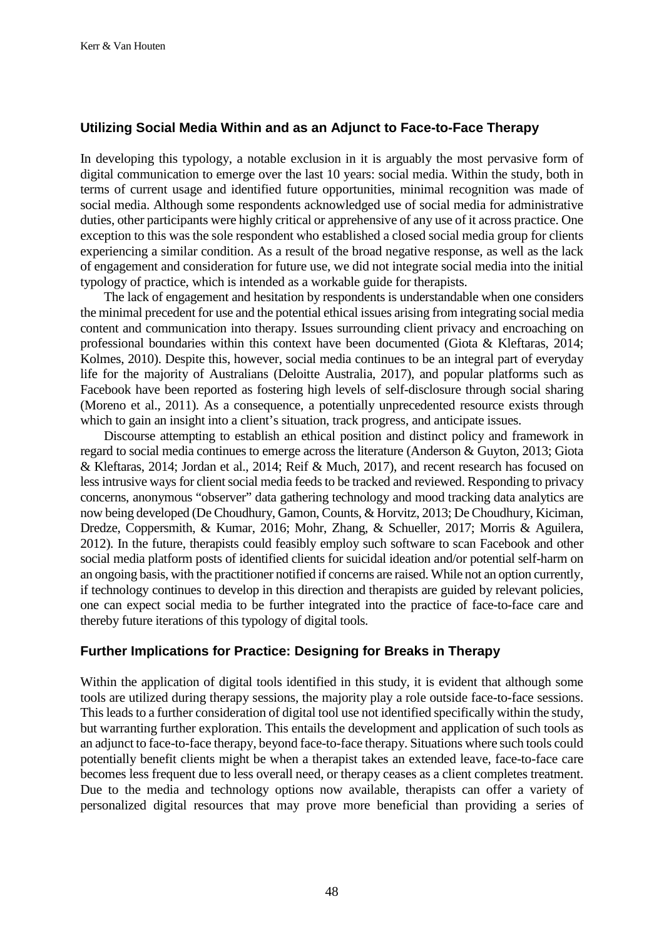# **Utilizing Social Media Within and as an Adjunct to Face-to-Face Therapy**

In developing this typology, a notable exclusion in it is arguably the most pervasive form of digital communication to emerge over the last 10 years: social media. Within the study, both in terms of current usage and identified future opportunities, minimal recognition was made of social media. Although some respondents acknowledged use of social media for administrative duties, other participants were highly critical or apprehensive of any use of it across practice. One exception to this was the sole respondent who established a closed social media group for clients experiencing a similar condition. As a result of the broad negative response, as well as the lack of engagement and consideration for future use, we did not integrate social media into the initial typology of practice, which is intended as a workable guide for therapists.

The lack of engagement and hesitation by respondents is understandable when one considers the minimal precedent for use and the potential ethical issues arising from integrating social media content and communication into therapy. Issues surrounding client privacy and encroaching on professional boundaries within this context have been documented (Giota & Kleftaras, 2014; Kolmes, 2010). Despite this, however, social media continues to be an integral part of everyday life for the majority of Australians (Deloitte Australia, 2017), and popular platforms such as Facebook have been reported as fostering high levels of self-disclosure through social sharing (Moreno et al., 2011). As a consequence, a potentially unprecedented resource exists through which to gain an insight into a client's situation, track progress, and anticipate issues.

Discourse attempting to establish an ethical position and distinct policy and framework in regard to social media continues to emerge across the literature (Anderson & Guyton, 2013; Giota & Kleftaras, 2014; Jordan et al., 2014; Reif & Much, 2017), and recent research has focused on less intrusive ways for client social media feeds to be tracked and reviewed. Responding to privacy concerns, anonymous "observer" data gathering technology and mood tracking data analytics are now being developed (De Choudhury, Gamon, Counts, & Horvitz, 2013; De Choudhury, Kiciman, Dredze, Coppersmith, & Kumar, 2016; Mohr, Zhang, & Schueller, 2017; Morris & Aguilera, 2012). In the future, therapists could feasibly employ such software to scan Facebook and other social media platform posts of identified clients for suicidal ideation and/or potential self-harm on an ongoing basis, with the practitioner notified if concerns are raised. While not an option currently, if technology continues to develop in this direction and therapists are guided by relevant policies, one can expect social media to be further integrated into the practice of face-to-face care and thereby future iterations of this typology of digital tools.

## **Further Implications for Practice: Designing for Breaks in Therapy**

Within the application of digital tools identified in this study, it is evident that although some tools are utilized during therapy sessions, the majority play a role outside face-to-face sessions. This leads to a further consideration of digital tool use not identified specifically within the study, but warranting further exploration. This entails the development and application of such tools as an adjunct to face-to-face therapy, beyond face-to-face therapy. Situations where such tools could potentially benefit clients might be when a therapist takes an extended leave, face-to-face care becomes less frequent due to less overall need, or therapy ceases as a client completes treatment. Due to the media and technology options now available, therapists can offer a variety of personalized digital resources that may prove more beneficial than providing a series of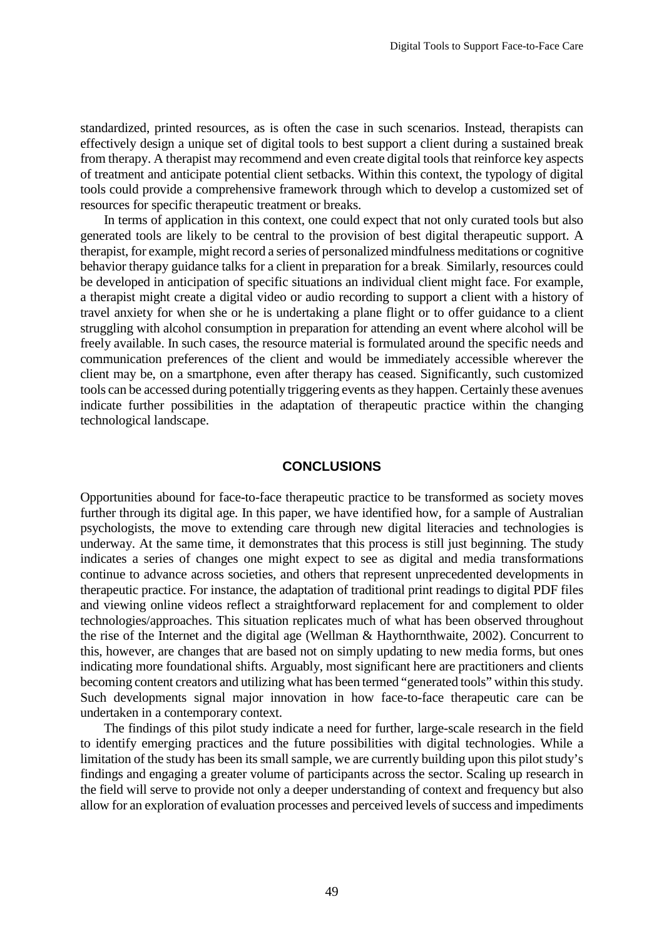standardized, printed resources, as is often the case in such scenarios. Instead, therapists can effectively design a unique set of digital tools to best support a client during a sustained break from therapy. A therapist may recommend and even create digital tools that reinforce key aspects of treatment and anticipate potential client setbacks. Within this context, the typology of digital tools could provide a comprehensive framework through which to develop a customized set of resources for specific therapeutic treatment or breaks.

In terms of application in this context, one could expect that not only curated tools but also generated tools are likely to be central to the provision of best digital therapeutic support. A therapist, for example, might record a series of personalized mindfulness meditations or cognitive behavior therapy guidance talks for a client in preparation for a break. Similarly, resources could be developed in anticipation of specific situations an individual client might face. For example, a therapist might create a digital video or audio recording to support a client with a history of travel anxiety for when she or he is undertaking a plane flight or to offer guidance to a client struggling with alcohol consumption in preparation for attending an event where alcohol will be freely available. In such cases, the resource material is formulated around the specific needs and communication preferences of the client and would be immediately accessible wherever the client may be, on a smartphone, even after therapy has ceased. Significantly, such customized tools can be accessed during potentially triggering events as they happen. Certainly these avenues indicate further possibilities in the adaptation of therapeutic practice within the changing technological landscape.

#### **CONCLUSIONS**

Opportunities abound for face-to-face therapeutic practice to be transformed as society moves further through its digital age. In this paper, we have identified how, for a sample of Australian psychologists, the move to extending care through new digital literacies and technologies is underway. At the same time, it demonstrates that this process is still just beginning. The study indicates a series of changes one might expect to see as digital and media transformations continue to advance across societies, and others that represent unprecedented developments in therapeutic practice. For instance, the adaptation of traditional print readings to digital PDF files and viewing online videos reflect a straightforward replacement for and complement to older technologies/approaches. This situation replicates much of what has been observed throughout the rise of the Internet and the digital age (Wellman & Haythornthwaite, 2002). Concurrent to this, however, are changes that are based not on simply updating to new media forms, but ones indicating more foundational shifts. Arguably, most significant here are practitioners and clients becoming content creators and utilizing what has been termed "generated tools" within this study. Such developments signal major innovation in how face-to-face therapeutic care can be undertaken in a contemporary context.

The findings of this pilot study indicate a need for further, large-scale research in the field to identify emerging practices and the future possibilities with digital technologies. While a limitation of the study has been its small sample, we are currently building upon this pilot study's findings and engaging a greater volume of participants across the sector. Scaling up research in the field will serve to provide not only a deeper understanding of context and frequency but also allow for an exploration of evaluation processes and perceived levels of success and impediments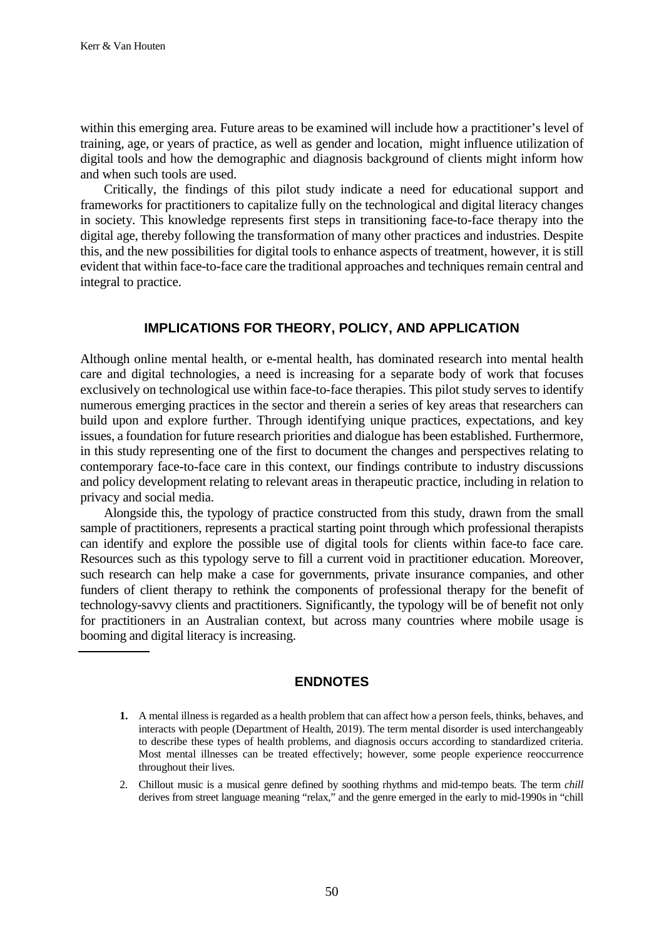within this emerging area. Future areas to be examined will include how a practitioner's level of training, age, or years of practice, as well as gender and location, might influence utilization of digital tools and how the demographic and diagnosis background of clients might inform how and when such tools are used.

Critically, the findings of this pilot study indicate a need for educational support and frameworks for practitioners to capitalize fully on the technological and digital literacy changes in society. This knowledge represents first steps in transitioning face-to-face therapy into the digital age, thereby following the transformation of many other practices and industries. Despite this, and the new possibilities for digital tools to enhance aspects of treatment, however, it is still evident that within face-to-face care the traditional approaches and techniques remain central and integral to practice.

## **IMPLICATIONS FOR THEORY, POLICY, AND APPLICATION**

Although online mental health, or e-mental health, has dominated research into mental health care and digital technologies, a need is increasing for a separate body of work that focuses exclusively on technological use within face-to-face therapies. This pilot study serves to identify numerous emerging practices in the sector and therein a series of key areas that researchers can build upon and explore further. Through identifying unique practices, expectations, and key issues, a foundation for future research priorities and dialogue has been established. Furthermore, in this study representing one of the first to document the changes and perspectives relating to contemporary face-to-face care in this context, our findings contribute to industry discussions and policy development relating to relevant areas in therapeutic practice, including in relation to privacy and social media.

Alongside this, the typology of practice constructed from this study, drawn from the small sample of practitioners, represents a practical starting point through which professional therapists can identify and explore the possible use of digital tools for clients within face-to face care. Resources such as this typology serve to fill a current void in practitioner education. Moreover, such research can help make a case for governments, private insurance companies, and other funders of client therapy to rethink the components of professional therapy for the benefit of technology-savvy clients and practitioners. Significantly, the typology will be of benefit not only for practitioners in an Australian context, but across many countries where mobile usage is booming and digital literacy is increasing.

## **ENDNOTES**

2. Chillout music is a musical genre defined by soothing rhythms and mid-tempo beats. The term *chill*  derives from street language meaning "relax," and the genre emerged in the early to mid-1990s in "chill

**<sup>1.</sup>** A mental illness is regarded as a health problem that can affect how a person feels, thinks, behaves, and interacts with people (Department of Health, 2019). The term mental disorder is used interchangeably to describe these types of health problems, and diagnosis occurs according to standardized criteria. Most mental illnesses can be treated effectively; however, some people experience reoccurrence throughout their lives.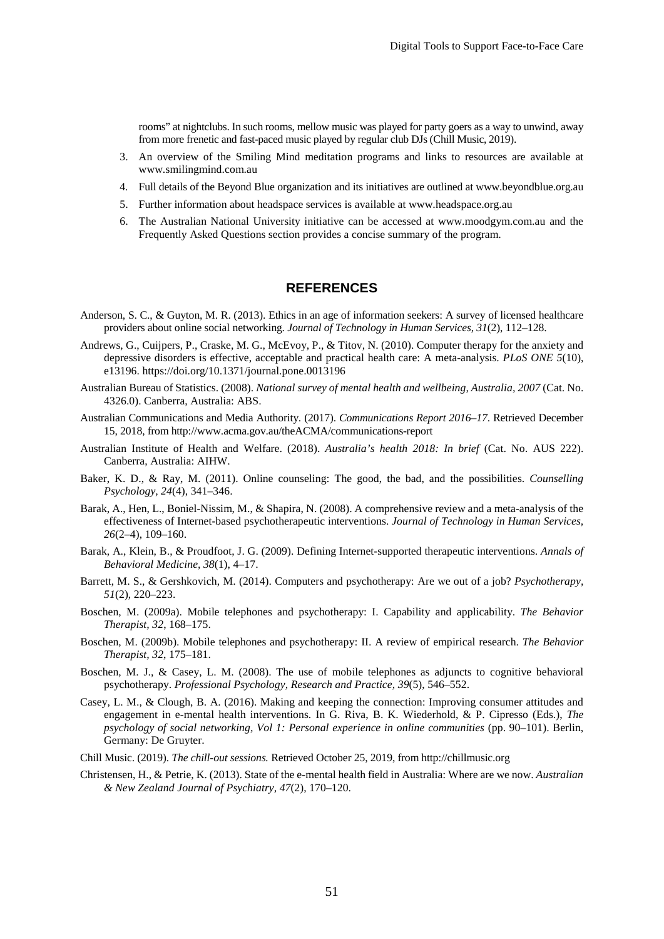rooms" at nightclubs. In such rooms, mellow music was played for party goers as a way to unwind, away from more frenetic and fast-paced music played by regular club DJs (Chill Music, 2019).

- 3. An overview of the Smiling Mind meditation programs and links to resources are available at www.smilingmind.com.au
- 4. Full details of the Beyond Blue organization and its initiatives are outlined at www.beyondblue.org.au
- 5. Further information about headspace services is available at www.headspace.org.au
- 6. The Australian National University initiative can be accessed at www.moodgym.com.au and the Frequently Asked Questions section provides a concise summary of the program.

## **REFERENCES**

- Anderson, S. C., & Guyton, M. R. (2013). Ethics in an age of information seekers: A survey of licensed healthcare providers about online social networking. *Journal of Technology in Human Services, 31*(2), 112–128.
- Andrews, G., Cuijpers, P., Craske, M. G., McEvoy, P., & Titov, N. (2010). Computer therapy for the anxiety and depressive disorders is effective, acceptable and practical health care: A meta-analysis. *PLoS ONE 5*(10), e13196. https://doi.org/10.1371/journal.pone.0013196
- Australian Bureau of Statistics. (2008). *National survey of mental health and wellbeing, Australia, 2007* (Cat. No. 4326.0). Canberra, Australia: ABS.
- Australian Communications and Media Authority. (2017). *Communications Report 2016–17*. Retrieved December 15, 2018, from http://www.acma.gov.au/theACMA/communications-report
- Australian Institute of Health and Welfare. (2018). *Australia's health 2018: In brief* (Cat. No. AUS 222). Canberra, Australia: AIHW.
- Baker, K. D., & Ray, M. (2011). Online counseling: The good, the bad, and the possibilities. *Counselling Psychology, 24*(4), 341–346.
- Barak, A., Hen, L., Boniel-Nissim, M., & Shapira, N. (2008). A comprehensive review and a meta-analysis of the effectiveness of Internet-based psychotherapeutic interventions. *Journal of Technology in Human Services, 26*(2–4), 109–160.
- Barak, A., Klein, B., & Proudfoot, J. G. (2009). Defining Internet-supported therapeutic interventions. *Annals of Behavioral Medicine, 38*(1), 4–17.
- Barrett, M. S., & Gershkovich, M. (2014). Computers and psychotherapy: Are we out of a job? *Psychotherapy, 51*(2), 220–223.
- Boschen, M. (2009a). Mobile telephones and psychotherapy: I. Capability and applicability. *The Behavior Therapist, 32*, 168–175.
- Boschen, M. (2009b). Mobile telephones and psychotherapy: II. A review of empirical research. *The Behavior Therapist, 32*, 175–181.
- Boschen, M. J., & Casey, L. M. (2008). The use of mobile telephones as adjuncts to cognitive behavioral psychotherapy. *Professional Psychology, Research and Practice, 39*(5), 546–552.
- Casey, L. M., & Clough, B. A. (2016). Making and keeping the connection: Improving consumer attitudes and engagement in e-mental health interventions. In G. Riva, B. K. Wiederhold, & P. Cipresso (Eds.), *The psychology of social networking, Vol 1: Personal experience in online communities* (pp. 90–101). Berlin, Germany: De Gruyter.
- Chill Music. (2019). *The chill-out sessions.* Retrieved October 25, 2019, from http://chillmusic.org
- Christensen, H., & Petrie, K. (2013). State of the e-mental health field in Australia: Where are we now. *Australian & New Zealand Journal of Psychiatry, 47*(2), 170–120.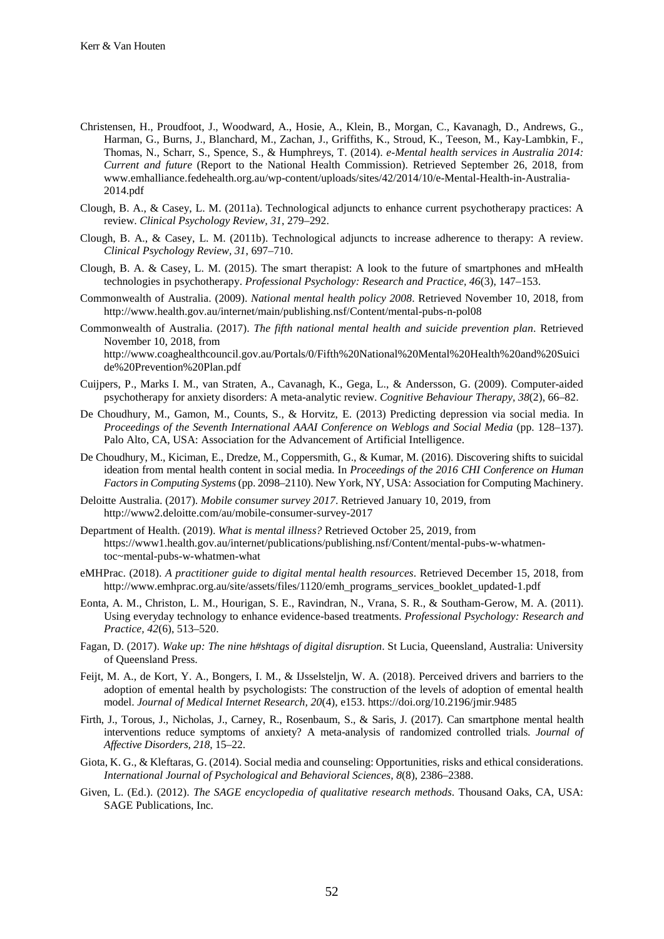- Christensen, H., Proudfoot, J., Woodward, A., Hosie, A., Klein, B., Morgan, C., Kavanagh, D., Andrews, G., Harman, G., Burns, J., Blanchard, M., Zachan, J., Griffiths, K., Stroud, K., Teeson, M., Kay-Lambkin, F., Thomas, N., Scharr, S., Spence, S., & Humphreys, T. (2014). *e-Mental health services in Australia 2014: Current and future* (Report to the National Health Commission). Retrieved September 26, 2018, from www.emhalliance.fedehealth.org.au/wp-content/uploads/sites/42/2014/10/e-Mental-Health-in-Australia-2014.pdf
- Clough, B. A., & Casey, L. M. (2011a). Technological adjuncts to enhance current psychotherapy practices: A review. *Clinical Psychology Review, 31*, 279–292.
- Clough, B. A., & Casey, L. M. (2011b). Technological adjuncts to increase adherence to therapy: A review. *Clinical Psychology Review, 31*, 697–710.
- Clough, B. A. & Casey, L. M. (2015). The smart therapist: A look to the future of smartphones and mHealth technologies in psychotherapy. *Professional Psychology: Research and Practice, 46*(3), 147–153.
- Commonwealth of Australia. (2009). *National mental health policy 2008*. Retrieved November 10, 2018, from http://www.health.gov.au/internet/main/publishing.nsf/Content/mental-pubs-n-pol08
- Commonwealth of Australia. (2017). *The fifth national mental health and suicide prevention plan*. Retrieved November 10, 2018, from http://www.coaghealthcouncil.gov.au/Portals/0/Fifth%20National%20Mental%20Health%20and%20Suici de%20Prevention%20Plan.pdf
- Cuijpers, P., Marks I. M., van Straten, A., Cavanagh, K., Gega, L., & Andersson, G. (2009). Computer-aided psychotherapy for anxiety disorders: A meta-analytic review. *Cognitive Behaviour Therapy, 38*(2), 66–82.
- De Choudhury, M., Gamon, M., Counts, S., & Horvitz, E. (2013) Predicting depression via social media. In *Proceedings of the Seventh International AAAI Conference on Weblogs and Social Media* (pp. 128–137). Palo Alto, CA, USA: Association for the Advancement of Artificial Intelligence.
- De Choudhury, M., Kiciman, E., Dredze, M., Coppersmith, G., & Kumar, M. (2016). Discovering shifts to suicidal ideation from mental health content in social media. In *Proceedings of the 2016 CHI Conference on Human Factors in Computing Systems* (pp. 2098–2110). New York, NY, USA: Association for Computing Machinery.
- Deloitte Australia. (2017). *Mobile consumer survey 2017*. Retrieved January 10, 2019, from http://www2.deloitte.com/au/mobile-consumer-survey-2017
- Department of Health. (2019). *What is mental illness?* Retrieved October 25, 2019, from https://www1.health.gov.au/internet/publications/publishing.nsf/Content/mental-pubs-w-whatmentoc~mental-pubs-w-whatmen-what
- eMHPrac. (2018). *A practitioner guide to digital mental health resources*. Retrieved December 15, 2018, from http://www.emhprac.org.au/site/assets/files/1120/emh\_programs\_services\_booklet\_updated-1.pdf
- Eonta, A. M., Christon, L. M., Hourigan, S. E., Ravindran, N., Vrana, S. R., & Southam-Gerow, M. A. (2011). Using everyday technology to enhance evidence-based treatments. *Professional Psychology: Research and Practice, 42*(6), 513–520.
- Fagan, D. (2017). *Wake up: The nine h#shtags of digital disruption*. St Lucia, Queensland, Australia: University of Queensland Press.
- Feijt, M. A., de Kort, Y. A., Bongers, I. M., & IJsselsteljn, W. A. (2018). Perceived drivers and barriers to the adoption of emental health by psychologists: The construction of the levels of adoption of emental health model. *Journal of Medical Internet Research, 20*(4), e153. https://doi.org/10.2196/jmir.9485
- Firth, J., Torous, J., Nicholas, J., Carney, R., Rosenbaum, S., & Saris, J. (2017). Can smartphone mental health interventions reduce symptoms of anxiety? A meta-analysis of randomized controlled trials. *Journal of Affective Disorders, 218*, 15–22.
- Giota, K. G., & Kleftaras, G. (2014). Social media and counseling: Opportunities, risks and ethical considerations. *International Journal of Psychological and Behavioral Sciences, 8*(8), 2386–2388.
- Given, L. (Ed.). (2012). *The SAGE encyclopedia of qualitative research methods*. Thousand Oaks, CA, USA: SAGE Publications, Inc.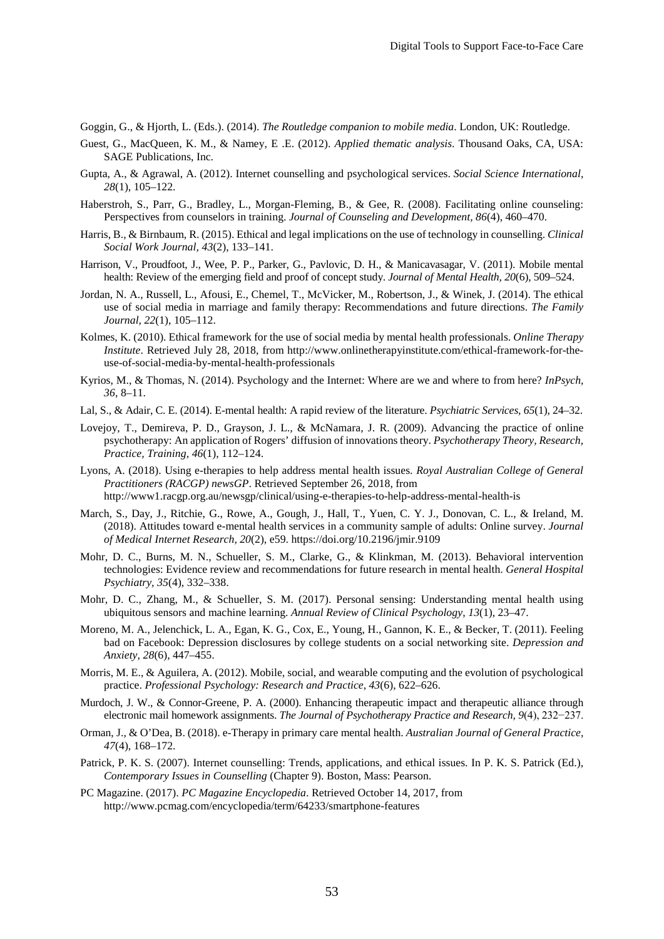Goggin, G., & Hjorth, L. (Eds.). (2014). *The Routledge companion to mobile media*. London, UK: Routledge.

- Guest, G., MacQueen, K. M., & Namey, E .E. (2012). *Applied thematic analysis*. Thousand Oaks, CA, USA: SAGE Publications, Inc.
- Gupta, A., & Agrawal, A. (2012). Internet counselling and psychological services. *Social Science International, 28*(1), 105–122.
- Haberstroh, S., Parr, G., Bradley, L., Morgan-Fleming, B., & Gee, R. (2008). Facilitating online counseling: Perspectives from counselors in training. *Journal of Counseling and Development, 86*(4), 460–470.
- Harris, B., & Birnbaum, R. (2015). Ethical and legal implications on the use of technology in counselling. *Clinical Social Work Journal, 43*(2), 133–141.
- Harrison, V., Proudfoot, J., Wee, P. P., Parker, G., Pavlovic, D. H., & Manicavasagar, V. (2011). Mobile mental health: Review of the emerging field and proof of concept study. *Journal of Mental Health, 20*(6), 509–524.
- Jordan, N. A., Russell, L., Afousi, E., Chemel, T., McVicker, M., Robertson, J., & Winek, J. (2014). The ethical use of social media in marriage and family therapy: Recommendations and future directions. *The Family Journal, 22*(1), 105–112.
- Kolmes, K. (2010). Ethical framework for the use of social media by mental health professionals. *Online Therapy Institute*. Retrieved July 28, 2018, from http://www.onlinetherapyinstitute.com/ethical-framework-for-theuse-of-social-media-by-mental-health-professionals
- Kyrios, M., & Thomas, N. (2014). Psychology and the Internet: Where are we and where to from here? *InPsych, 36*, 8–11.
- Lal, S., & Adair, C. E. (2014). E-mental health: A rapid review of the literature. *Psychiatric Services, 65*(1), 24–32.
- Lovejoy, T., Demireva, P. D., Grayson, J. L., & McNamara, J. R. (2009). Advancing the practice of online psychotherapy: An application of Rogers' diffusion of innovations theory. *Psychotherapy Theory, Research, Practice, Training, 46*(1), 112–124.
- Lyons, A. (2018). Using e-therapies to help address mental health issues. *Royal Australian College of General Practitioners (RACGP) newsGP*. Retrieved September 26, 2018, from http://www1.racgp.org.au/newsgp/clinical/using-e-therapies-to-help-address-mental-health-is
- March, S., Day, J., Ritchie, G., Rowe, A., Gough, J., Hall, T., Yuen, C. Y. J., Donovan, C. L., & Ireland, M. (2018). Attitudes toward e-mental health services in a community sample of adults: Online survey. *Journal of Medical Internet Research, 20*(2), e59. https://doi.org/10.2196/jmir.9109
- Mohr, D. C., Burns, M. N., Schueller, S. M., Clarke, G., & Klinkman, M. (2013). Behavioral intervention technologies: Evidence review and recommendations for future research in mental health. *General Hospital Psychiatry, 35*(4), 332–338.
- Mohr, D. C., Zhang, M., & Schueller, S. M. (2017). Personal sensing: Understanding mental health using ubiquitous sensors and machine learning. *Annual Review of Clinical Psychology, 13*(1), 23–47.
- Moreno, M. A., Jelenchick, L. A., Egan, K. G., Cox, E., Young, H., Gannon, K. E., & Becker, T. (2011). Feeling bad on Facebook: Depression disclosures by college students on a social networking site. *Depression and Anxiety, 28*(6), 447–455.
- Morris, M. E., & Aguilera, A. (2012). Mobile, social, and wearable computing and the evolution of psychological practice. *Professional Psychology: Research and Practice, 43*(6), 622–626.
- Murdoch, J. W., & Connor-Greene, P. A. (2000). Enhancing therapeutic impact and therapeutic alliance through electronic mail homework assignments. *The Journal of Psychotherapy Practice and Research, 9*(4), 232−237.
- Orman, J., & O'Dea, B. (2018). e-Therapy in primary care mental health. *Australian Journal of General Practice, 47*(4), 168–172.
- Patrick, P. K. S. (2007). Internet counselling: Trends, applications, and ethical issues. In P. K. S. Patrick (Ed.), *Contemporary Issues in Counselling* (Chapter 9). Boston, Mass: Pearson.
- PC Magazine. (2017). *PC Magazine Encyclopedia*. Retrieved October 14, 2017, from http://www.pcmag.com/encyclopedia/term/64233/smartphone-features